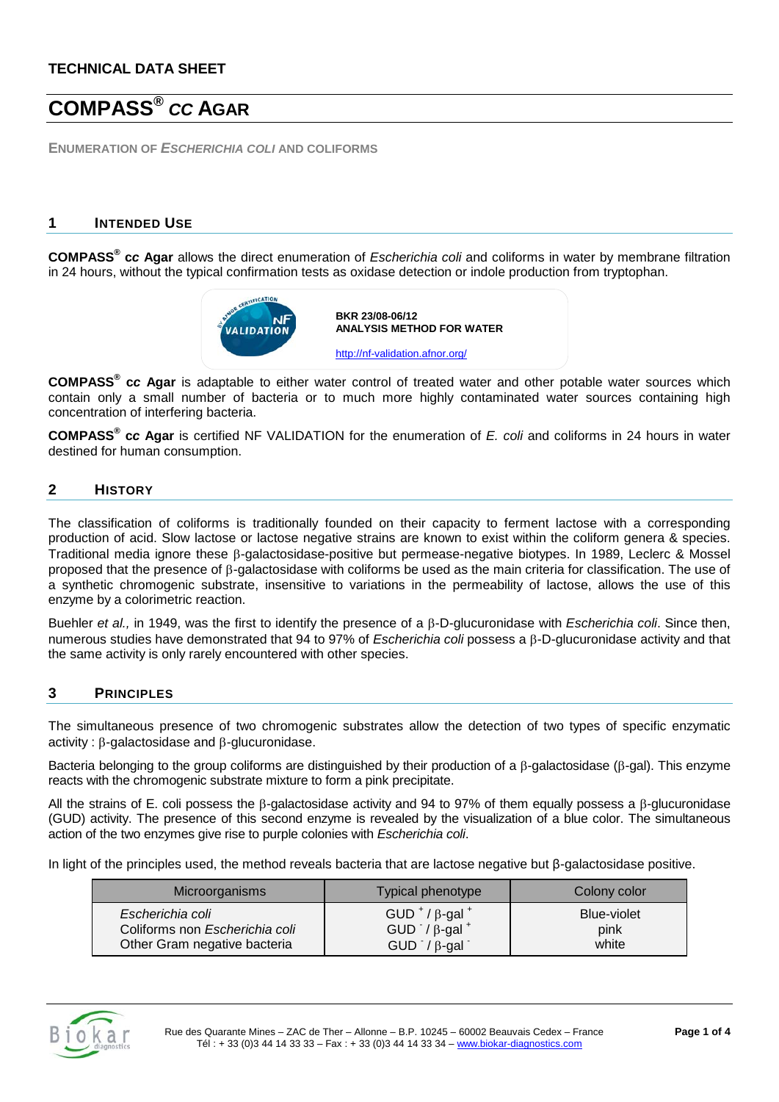# **COMPASS®** *CC* **AGAR**

**ENUMERATION OF** *ESCHERICHIA COLI* **AND COLIFORMS**

### **1 INTENDED USE**

**COMPASS® c***c* **Agar** allows the direct enumeration of *Escherichia coli* and coliforms in water by membrane filtration in 24 hours, without the typical confirmation tests as oxidase detection or indole production from tryptophan.



**COMPASS® c***c* **Agar** is adaptable to either water control of treated water and other potable water sources which contain only a small number of bacteria or to much more highly contaminated water sources containing high concentration of interfering bacteria.

**COMPASS® c***c* **Agar** is certified NF VALIDATION for the enumeration of *E. coli* and coliforms in 24 hours in water destined for human consumption.

### **2 HISTORY**

The classification of coliforms is traditionally founded on their capacity to ferment lactose with a corresponding production of acid. Slow lactose or lactose negative strains are known to exist within the coliform genera & species. Traditional media ignore these β-galactosidase-positive but permease-negative biotypes. In 1989, Leclerc & Mossel proposed that the presence of β-galactosidase with coliforms be used as the main criteria for classification. The use of a synthetic chromogenic substrate, insensitive to variations in the permeability of lactose, allows the use of this enzyme by a colorimetric reaction.

Buehler *et al.,* in 1949, was the first to identify the presence of a β-D-glucuronidase with *Escherichia coli*. Since then, numerous studies have demonstrated that 94 to 97% of *Escherichia coli* possess a β-D-glucuronidase activity and that the same activity is only rarely encountered with other species.

#### **3 PRINCIPLES**

The simultaneous presence of two chromogenic substrates allow the detection of two types of specific enzymatic activity : β-galactosidase and β-glucuronidase.

Bacteria belonging to the group coliforms are distinguished by their production of a β-galactosidase (β-gal). This enzyme reacts with the chromogenic substrate mixture to form a pink precipitate.

All the strains of E. coli possess the β-galactosidase activity and 94 to 97% of them equally possess a β-glucuronidase (GUD) activity. The presence of this second enzyme is revealed by the visualization of a blue color. The simultaneous action of the two enzymes give rise to purple colonies with *Escherichia coli*.

In light of the principles used, the method reveals bacteria that are lactose negative but β-galactosidase positive.

| Microorganisms                 | <b>Typical phenotype</b>                    | Colony color       |
|--------------------------------|---------------------------------------------|--------------------|
| Escherichia coli               | GUD $^+$ / $\beta$ -gal $^+$                | <b>Blue-violet</b> |
| Coliforms non Escherichia coli | GUD $\frac{1}{2}$ $\beta$ -gal <sup>+</sup> | pink               |
| Other Gram negative bacteria   | $GUD^{\dagger}/\beta$ -gal                  | white              |

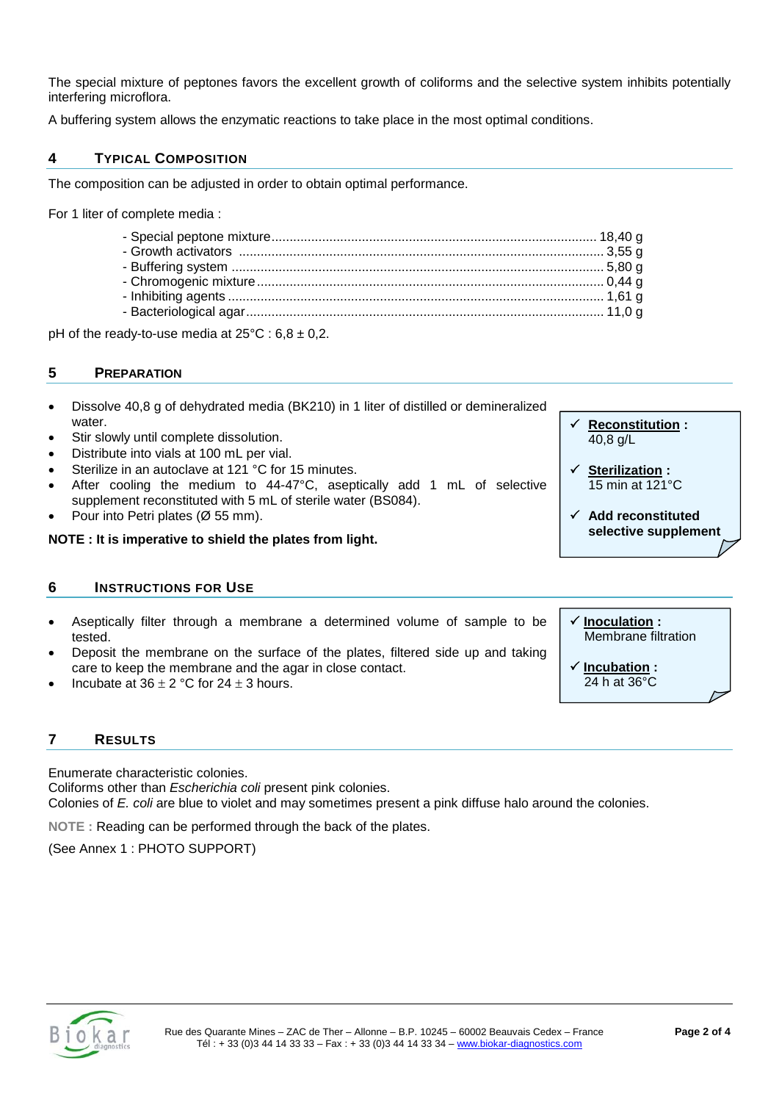The special mixture of peptones favors the excellent growth of coliforms and the selective system inhibits potentially interfering microflora.

A buffering system allows the enzymatic reactions to take place in the most optimal conditions.

# **4 TYPICAL COMPOSITION**

The composition can be adjusted in order to obtain optimal performance.

For 1 liter of complete media :

pH of the ready-to-use media at  $25^{\circ}$ C : 6,8  $\pm$  0,2.

#### **5 PREPARATION**

 **Reconstitution :** 40,8 g/L **Sterilization :** 15 min at 121°C **Add reconstituted selective supplement** • Dissolve 40,8 g of dehydrated media (BK210) in 1 liter of distilled or demineralized water. Stir slowly until complete dissolution. • Distribute into vials at 100 mL per vial. Sterilize in an autoclave at 121 °C for 15 minutes. After cooling the medium to 44-47°C, aseptically add 1 mL of selective supplement reconstituted with 5 mL of sterile water (BS084). • Pour into Petri plates (Ø 55 mm). **NOTE : It is imperative to shield the plates from light.** 

#### **6 INSTRUCTIONS FOR USE**

- Aseptically filter through a membrane a determined volume of sample to be tested.
- Deposit the membrane on the surface of the plates, filtered side up and taking care to keep the membrane and the agar in close contact.
- Incubate at  $36 \pm 2$  °C for  $24 \pm 3$  hours.

#### **7 RESULTS**

Enumerate characteristic colonies.

Coliforms other than *Escherichia coli* present pink colonies.

Colonies of *E. coli* are blue to violet and may sometimes present a pink diffuse halo around the colonies.

**NOTE :** Reading can be performed through the back of the plates.

(See Annex 1 : PHOTO SUPPORT)



**Inoculation :**

 **Incubation :** 24 h at 36°C

Membrane filtration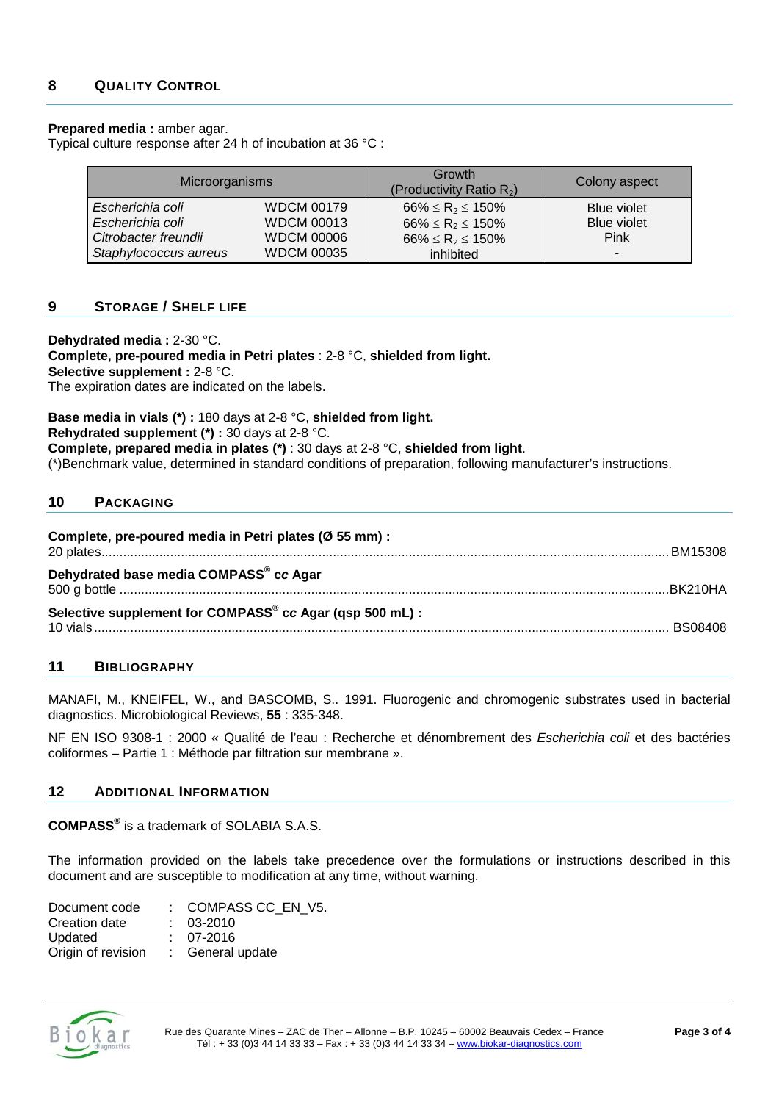#### **Prepared media :** amber agar.

Typical culture response after 24 h of incubation at 36 °C :

| Microorganisms        |                   | Growth<br>(Productivity Ratio $R_2$ ) | Colony aspect            |
|-----------------------|-------------------|---------------------------------------|--------------------------|
| Escherichia coli      | <b>WDCM 00179</b> | $66\% \le R_2 \le 150\%$              | Blue violet              |
| Escherichia coli      | <b>WDCM 00013</b> | $66\% \le R_2 \le 150\%$              | Blue violet              |
| Citrobacter freundii  | <b>WDCM 00006</b> | $66\% \le R_2 \le 150\%$              | <b>Pink</b>              |
| Staphylococcus aureus | <b>WDCM 00035</b> | inhibited                             | $\overline{\phantom{a}}$ |

#### **9 STORAGE / SHELF LIFE**

**Dehydrated media :** 2-30 °C. **Complete, pre-poured media in Petri plates** : 2-8 °C, **shielded from light. Selective supplement :** 2-8 °C. The expiration dates are indicated on the labels.

**Base media in vials (\*) :** 180 days at 2-8 °C, **shielded from light. Rehydrated supplement (\*) :** 30 days at 2-8 °C. **Complete, prepared media in plates (\*)** : 30 days at 2-8 °C, **shielded from light**. (\*)Benchmark value, determined in standard conditions of preparation, following manufacturer's instructions.

### **10 PACKAGING**

| Complete, pre-poured media in Petri plates (Ø 55 mm) :   |  |
|----------------------------------------------------------|--|
| Dehydrated base media COMPASS® cc Agar                   |  |
| Selective supplement for COMPASS® cc Agar (qsp 500 mL) : |  |

#### **11 BIBLIOGRAPHY**

MANAFI, M., KNEIFEL, W., and BASCOMB, S.. 1991. Fluorogenic and chromogenic substrates used in bacterial diagnostics. Microbiological Reviews, **55** : 335-348.

NF EN ISO 9308-1 : 2000 « Qualité de l'eau : Recherche et dénombrement des *Escherichia coli* et des bactéries coliformes – Partie 1 : Méthode par filtration sur membrane ».

#### **12 ADDITIONAL INFORMATION**

**COMPASS®** is a trademark of SOLABIA S.A.S.

The information provided on the labels take precedence over the formulations or instructions described in this document and are susceptible to modification at any time, without warning.

| Document code      | : COMPASS CC EN V5. |
|--------------------|---------------------|
| Creation date      | $: 03-2010$         |
| Updated            | $: 07-2016$         |
| Origin of revision | : General update    |